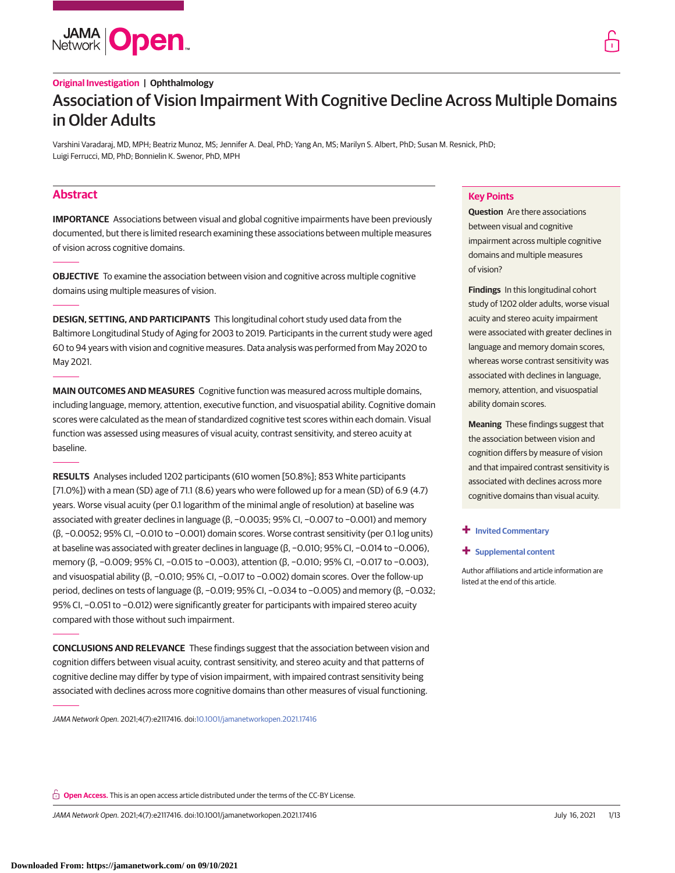

# **Original Investigation | Ophthalmology** Association of Vision Impairment With Cognitive Decline Across Multiple Domains in Older Adults

Varshini Varadaraj, MD, MPH; Beatriz Munoz, MS; Jennifer A. Deal, PhD; Yang An, MS; Marilyn S. Albert, PhD; Susan M. Resnick, PhD; Luigi Ferrucci, MD, PhD; Bonnielin K. Swenor, PhD, MPH

# **Abstract**

**IMPORTANCE** Associations between visual and global cognitive impairments have been previously documented, but there is limited research examining these associations between multiple measures of vision across cognitive domains.

**OBJECTIVE** To examine the association between vision and cognitive across multiple cognitive domains using multiple measures of vision.

**DESIGN, SETTING, AND PARTICIPANTS** This longitudinal cohort study used data from the Baltimore Longitudinal Study of Aging for 2003 to 2019. Participants in the current study were aged 60 to 94 years with vision and cognitive measures. Data analysis was performed from May 2020 to May 2021.

**MAIN OUTCOMES AND MEASURES** Cognitive function was measured across multiple domains, including language, memory, attention, executive function, and visuospatial ability. Cognitive domain scores were calculated as the mean of standardized cognitive test scores within each domain. Visual function was assessed using measures of visual acuity, contrast sensitivity, and stereo acuity at baseline.

**RESULTS** Analyses included 1202 participants (610 women [50.8%]; 853 White participants [71.0%]) with a mean (SD) age of 71.1 (8.6) years who were followed up for a mean (SD) of 6.9 (4.7) years. Worse visual acuity (per 0.1 logarithm of the minimal angle of resolution) at baseline was associated with greater declines in language (β, −0.0035; 95% CI, −0.007 to −0.001) and memory (β, −0.0052; 95% CI, −0.010 to −0.001) domain scores. Worse contrast sensitivity (per 0.1 log units) at baseline was associated with greater declines in language (β, -0.010; 95% CI, -0.014 to -0.006), memory (β, -0.009; 95% CI, -0.015 to -0.003), attention (β, -0.010; 95% CI, -0.017 to -0.003), and visuospatial ability (β, -0.010; 95% CI, -0.017 to -0.002) domain scores. Over the follow-up period, declines on tests of language (β, −0.019; 95% CI, −0.034 to −0.005) and memory (β, −0.032; 95% CI, −0.051 to −0.012) were significantly greater for participants with impaired stereo acuity compared with those without such impairment.

**CONCLUSIONS AND RELEVANCE** These findings suggest that the association between vision and cognition differs between visual acuity, contrast sensitivity, and stereo acuity and that patterns of cognitive decline may differ by type of vision impairment, with impaired contrast sensitivity being associated with declines across more cognitive domains than other measures of visual functioning.

JAMA Network Open. 2021;4(7):e2117416. doi[:10.1001/jamanetworkopen.2021.17416](https://jama.jamanetwork.com/article.aspx?doi=10.1001/jamanetworkopen.2021.17416&utm_campaign=articlePDF%26utm_medium=articlePDFlink%26utm_source=articlePDF%26utm_content=jamanetworkopen.2021.17416)

## **Key Points**

**Question** Are there associations between visual and cognitive impairment across multiple cognitive domains and multiple measures of vision?

**Findings** In this longitudinal cohort study of 1202 older adults, worse visual acuity and stereo acuity impairment were associated with greater declines in language and memory domain scores, whereas worse contrast sensitivity was associated with declines in language, memory, attention, and visuospatial ability domain scores.

**Meaning** These findings suggest that the association between vision and cognition differs by measure of vision and that impaired contrast sensitivity is associated with declines across more cognitive domains than visual acuity.

### **+ [Invited Commentary](https://jama.jamanetwork.com/article.aspx?doi=10.1001/jamanetworkopen.2021.19033&utm_campaign=articlePDF%26utm_medium=articlePDFlink%26utm_source=articlePDF%26utm_content=jamanetworkopen.2021.17416)**

### **+ [Supplemental content](https://jama.jamanetwork.com/article.aspx?doi=10.1001/jamanetworkopen.2021.17416&utm_campaign=articlePDF%26utm_medium=articlePDFlink%26utm_source=articlePDF%26utm_content=jamanetworkopen.2021.17416)**

Author affiliations and article information are listed at the end of this article.

**Open Access.** This is an open access article distributed under the terms of the CC-BY License.

JAMA Network Open. 2021;4(7):e2117416. doi:10.1001/jamanetworkopen.2021.17416 (Reprinted) July 16, 2021 1/13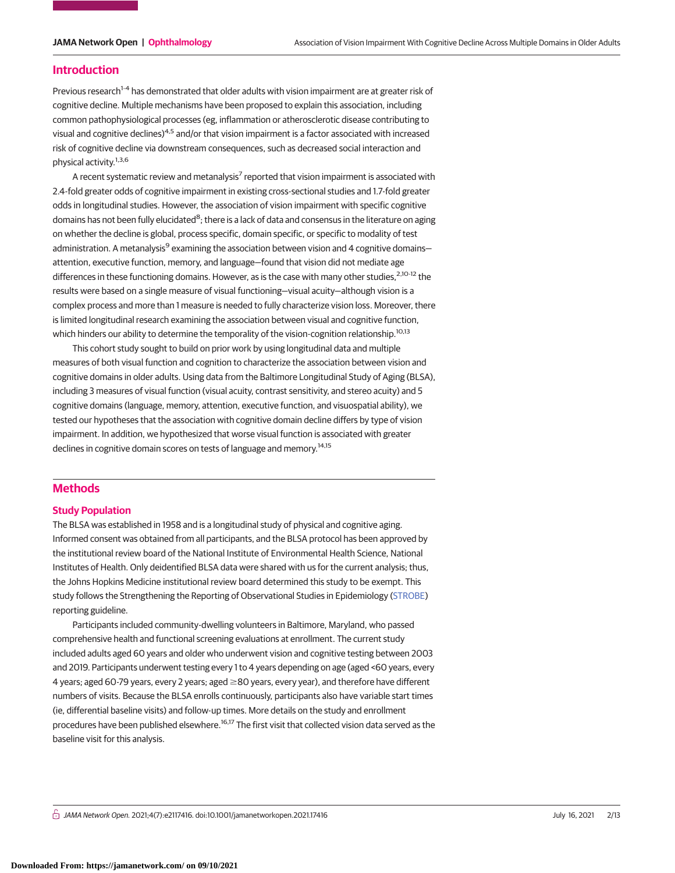### **Introduction**

Previous research<sup>1-4</sup> has demonstrated that older adults with vision impairment are at greater risk of cognitive decline. Multiple mechanisms have been proposed to explain this association, including common pathophysiological processes (eg, inflammation or atherosclerotic disease contributing to visual and cognitive declines)4,5 and/or that vision impairment is a factor associated with increased risk of cognitive decline via downstream consequences, such as decreased social interaction and physical activity.<sup>1,3,6</sup>

A recent systematic review and metanalysis<sup>7</sup> reported that vision impairment is associated with 2.4-fold greater odds of cognitive impairment in existing cross-sectional studies and 1.7-fold greater odds in longitudinal studies. However, the association of vision impairment with specific cognitive domains has not been fully elucidated<sup>8</sup>; there is a lack of data and consensus in the literature on aging on whether the decline is global, process specific, domain specific, or specific to modality of test administration. A metanalysis<sup>9</sup> examining the association between vision and 4 cognitive domains– attention, executive function, memory, and language—found that vision did not mediate age differences in these functioning domains. However, as is the case with many other studies,<sup>2,10-12</sup> the results were based on a single measure of visual functioning—visual acuity—although vision is a complex process and more than 1 measure is needed to fully characterize vision loss. Moreover, there is limited longitudinal research examining the association between visual and cognitive function, which hinders our ability to determine the temporality of the vision-cognition relationship.<sup>10,13</sup>

This cohort study sought to build on prior work by using longitudinal data and multiple measures of both visual function and cognition to characterize the association between vision and cognitive domains in older adults. Using data from the Baltimore Longitudinal Study of Aging (BLSA), including 3 measures of visual function (visual acuity, contrast sensitivity, and stereo acuity) and 5 cognitive domains (language, memory, attention, executive function, and visuospatial ability), we tested our hypotheses that the association with cognitive domain decline differs by type of vision impairment. In addition, we hypothesized that worse visual function is associated with greater declines in cognitive domain scores on tests of language and memory.<sup>14,15</sup>

# **Methods**

#### **Study Population**

The BLSA was established in 1958 and is a longitudinal study of physical and cognitive aging. Informed consent was obtained from all participants, and the BLSA protocol has been approved by the institutional review board of the National Institute of Environmental Health Science, National Institutes of Health. Only deidentified BLSA data were shared with us for the current analysis; thus, the Johns Hopkins Medicine institutional review board determined this study to be exempt. This study follows the Strengthening the Reporting of Observational Studies in Epidemiology [\(STROBE\)](http://www.equator-network.org/reporting-guidelines/strobe/) reporting guideline.

Participants included community-dwelling volunteers in Baltimore, Maryland, who passed comprehensive health and functional screening evaluations at enrollment. The current study included adults aged 60 years and older who underwent vision and cognitive testing between 2003 and 2019. Participants underwent testing every 1 to 4 years depending on age (aged <60 years, every 4 years; aged 60-79 years, every 2 years; aged ≥80 years, every year), and therefore have different numbers of visits. Because the BLSA enrolls continuously, participants also have variable start times (ie, differential baseline visits) and follow-up times. More details on the study and enrollment procedures have been published elsewhere.16,17 The first visit that collected vision data served as the baseline visit for this analysis.

 $\bigcap$  JAMA Network Open. 2021;4(7):e2117416. doi:10.1001/jamanetworkopen.2021.17416 (Berlinted) July 16, 2021 2/13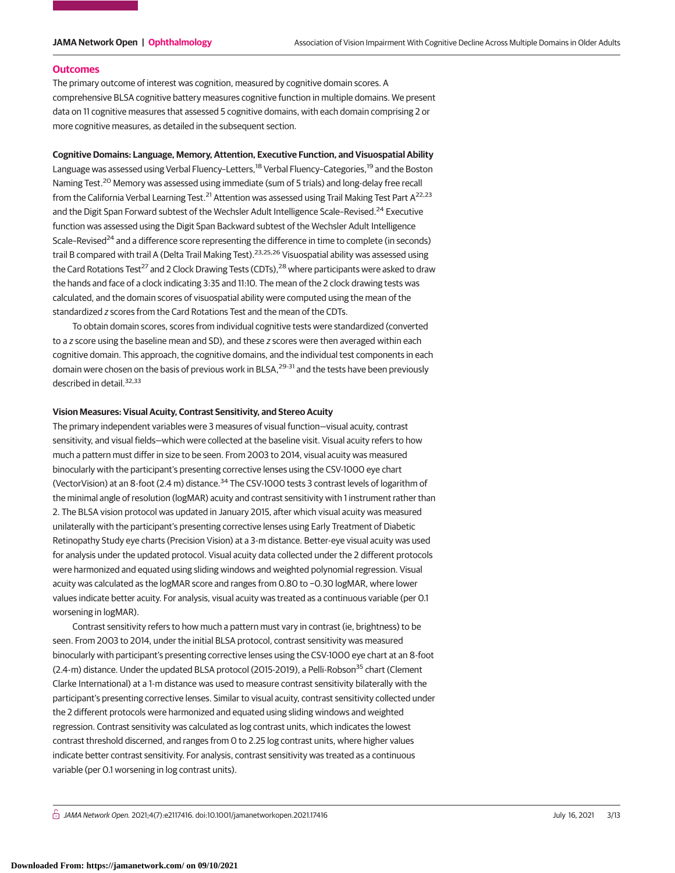#### **Outcomes**

The primary outcome of interest was cognition, measured by cognitive domain scores. A comprehensive BLSA cognitive battery measures cognitive function in multiple domains. We present data on 11 cognitive measures that assessed 5 cognitive domains, with each domain comprising 2 or more cognitive measures, as detailed in the subsequent section.

#### **Cognitive Domains: Language, Memory, Attention, Executive Function, and Visuospatial Ability**

Language was assessed using Verbal Fluency-Letters,<sup>18</sup> Verbal Fluency-Categories,<sup>19</sup> and the Boston Naming Test.<sup>20</sup> Memory was assessed using immediate (sum of 5 trials) and long-delay free recall from the California Verbal Learning Test.<sup>21</sup> Attention was assessed using Trail Making Test Part A<sup>22,23</sup> and the Digit Span Forward subtest of the Wechsler Adult Intelligence Scale-Revised.<sup>24</sup> Executive function was assessed using the Digit Span Backward subtest of the Wechsler Adult Intelligence Scale–Revised<sup>24</sup> and a difference score representing the difference in time to complete (in seconds) trail B compared with trail A (Delta Trail Making Test).<sup>23,25,26</sup> Visuospatial ability was assessed using the Card Rotations Test<sup>27</sup> and 2 Clock Drawing Tests (CDTs),<sup>28</sup> where participants were asked to draw the hands and face of a clock indicating 3:35 and 11:10. The mean of the 2 clock drawing tests was calculated, and the domain scores of visuospatial ability were computed using the mean of the standardized z scores from the Card Rotations Test and the mean of the CDTs.

To obtain domain scores, scores from individual cognitive tests were standardized (converted to a z score using the baseline mean and SD), and these z scores were then averaged within each cognitive domain. This approach, the cognitive domains, and the individual test components in each domain were chosen on the basis of previous work in BLSA,<sup>29-31</sup> and the tests have been previously described in detail.<sup>32,33</sup>

#### **Vision Measures: Visual Acuity, Contrast Sensitivity, and Stereo Acuity**

The primary independent variables were 3 measures of visual function—visual acuity, contrast sensitivity, and visual fields—which were collected at the baseline visit. Visual acuity refers to how much a pattern must differ in size to be seen. From 2003 to 2014, visual acuity was measured binocularly with the participant's presenting corrective lenses using the CSV-1000 eye chart (VectorVision) at an 8-foot (2.4 m) distance.<sup>34</sup> The CSV-1000 tests 3 contrast levels of logarithm of the minimal angle of resolution (logMAR) acuity and contrast sensitivity with 1 instrument rather than 2. The BLSA vision protocol was updated in January 2015, after which visual acuity was measured unilaterally with the participant's presenting corrective lenses using Early Treatment of Diabetic Retinopathy Study eye charts (Precision Vision) at a 3-m distance. Better-eye visual acuity was used for analysis under the updated protocol. Visual acuity data collected under the 2 different protocols were harmonized and equated using sliding windows and weighted polynomial regression. Visual acuity was calculated as the logMAR score and ranges from 0.80 to −0.30 logMAR, where lower values indicate better acuity. For analysis, visual acuity was treated as a continuous variable (per 0.1 worsening in logMAR).

Contrast sensitivity refers to how much a pattern must vary in contrast (ie, brightness) to be seen. From 2003 to 2014, under the initial BLSA protocol, contrast sensitivity was measured binocularly with participant's presenting corrective lenses using the CSV-1000 eye chart at an 8-foot  $(2.4 \cdot m)$  distance. Under the updated BLSA protocol (2015-2019), a Pelli-Robson<sup>35</sup> chart (Clement Clarke International) at a 1-m distance was used to measure contrast sensitivity bilaterally with the participant's presenting corrective lenses. Similar to visual acuity, contrast sensitivity collected under the 2 different protocols were harmonized and equated using sliding windows and weighted regression. Contrast sensitivity was calculated as log contrast units, which indicates the lowest contrast threshold discerned, and ranges from 0 to 2.25 log contrast units, where higher values indicate better contrast sensitivity. For analysis, contrast sensitivity was treated as a continuous variable (per 0.1 worsening in log contrast units).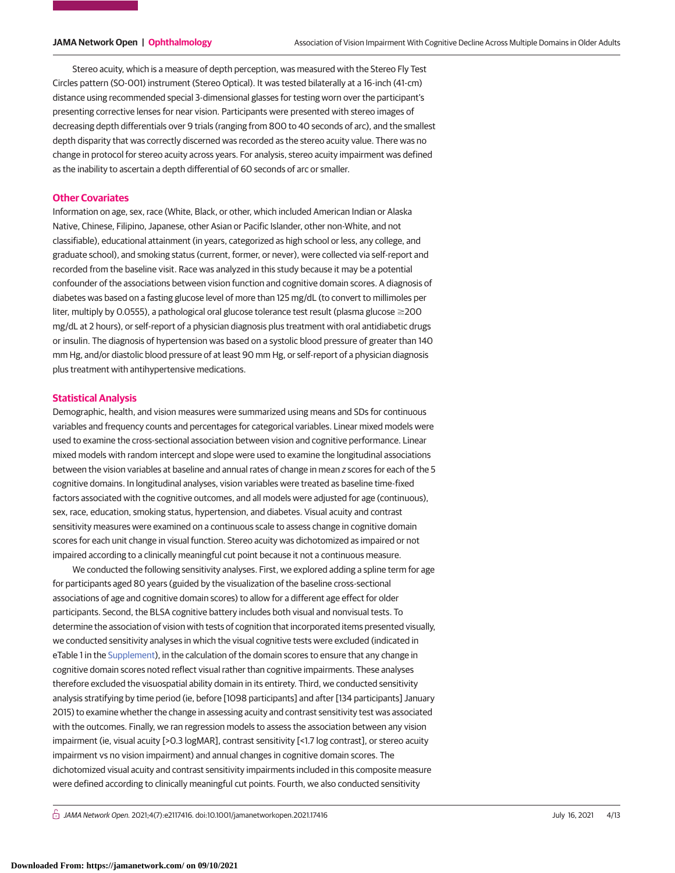Stereo acuity, which is a measure of depth perception, was measured with the Stereo Fly Test Circles pattern (SO-001) instrument (Stereo Optical). It was tested bilaterally at a 16-inch (41-cm) distance using recommended special 3-dimensional glasses for testing worn over the participant's presenting corrective lenses for near vision. Participants were presented with stereo images of decreasing depth differentials over 9 trials (ranging from 800 to 40 seconds of arc), and the smallest depth disparity that was correctly discerned was recorded as the stereo acuity value. There was no change in protocol for stereo acuity across years. For analysis, stereo acuity impairment was defined as the inability to ascertain a depth differential of 60 seconds of arc or smaller.

### **Other Covariates**

Information on age, sex, race (White, Black, or other, which included American Indian or Alaska Native, Chinese, Filipino, Japanese, other Asian or Pacific Islander, other non-White, and not classifiable), educational attainment (in years, categorized as high school or less, any college, and graduate school), and smoking status (current, former, or never), were collected via self-report and recorded from the baseline visit. Race was analyzed in this study because it may be a potential confounder of the associations between vision function and cognitive domain scores. A diagnosis of diabetes was based on a fasting glucose level of more than 125 mg/dL (to convert to millimoles per liter, multiply by 0.0555), a pathological oral glucose tolerance test result (plasma glucose  $\geq$ 200 mg/dL at 2 hours), or self-report of a physician diagnosis plus treatment with oral antidiabetic drugs or insulin. The diagnosis of hypertension was based on a systolic blood pressure of greater than 140 mm Hg, and/or diastolic blood pressure of at least 90 mm Hg, or self-report of a physician diagnosis plus treatment with antihypertensive medications.

#### **Statistical Analysis**

Demographic, health, and vision measures were summarized using means and SDs for continuous variables and frequency counts and percentages for categorical variables. Linear mixed models were used to examine the cross-sectional association between vision and cognitive performance. Linear mixed models with random intercept and slope were used to examine the longitudinal associations between the vision variables at baseline and annual rates of change in mean z scores for each of the 5 cognitive domains. In longitudinal analyses, vision variables were treated as baseline time-fixed factors associated with the cognitive outcomes, and all models were adjusted for age (continuous), sex, race, education, smoking status, hypertension, and diabetes. Visual acuity and contrast sensitivity measures were examined on a continuous scale to assess change in cognitive domain scores for each unit change in visual function. Stereo acuity was dichotomized as impaired or not impaired according to a clinically meaningful cut point because it not a continuous measure.

We conducted the following sensitivity analyses. First, we explored adding a spline term for age for participants aged 80 years (guided by the visualization of the baseline cross-sectional associations of age and cognitive domain scores) to allow for a different age effect for older participants. Second, the BLSA cognitive battery includes both visual and nonvisual tests. To determine the association of vision with tests of cognition that incorporated items presented visually, we conducted sensitivity analyses in which the visual cognitive tests were excluded (indicated in eTable 1 in the [Supplement\)](https://jama.jamanetwork.com/article.aspx?doi=10.1001/jamanetworkopen.2021.17416&utm_campaign=articlePDF%26utm_medium=articlePDFlink%26utm_source=articlePDF%26utm_content=jamanetworkopen.2021.17416), in the calculation of the domain scores to ensure that any change in cognitive domain scores noted reflect visual rather than cognitive impairments. These analyses therefore excluded the visuospatial ability domain in its entirety. Third, we conducted sensitivity analysis stratifying by time period (ie, before [1098 participants] and after [134 participants] January 2015) to examine whether the change in assessing acuity and contrast sensitivity test was associated with the outcomes. Finally, we ran regression models to assess the association between any vision impairment (ie, visual acuity [>0.3 logMAR], contrast sensitivity [<1.7 log contrast], or stereo acuity impairment vs no vision impairment) and annual changes in cognitive domain scores. The dichotomized visual acuity and contrast sensitivity impairments included in this composite measure were defined according to clinically meaningful cut points. Fourth, we also conducted sensitivity

 $\bigcap$  JAMA Network Open. 2021;4(7):e2117416. doi:10.1001/jamanetworkopen.2021.17416 (Berlinted) July 16, 2021 4/13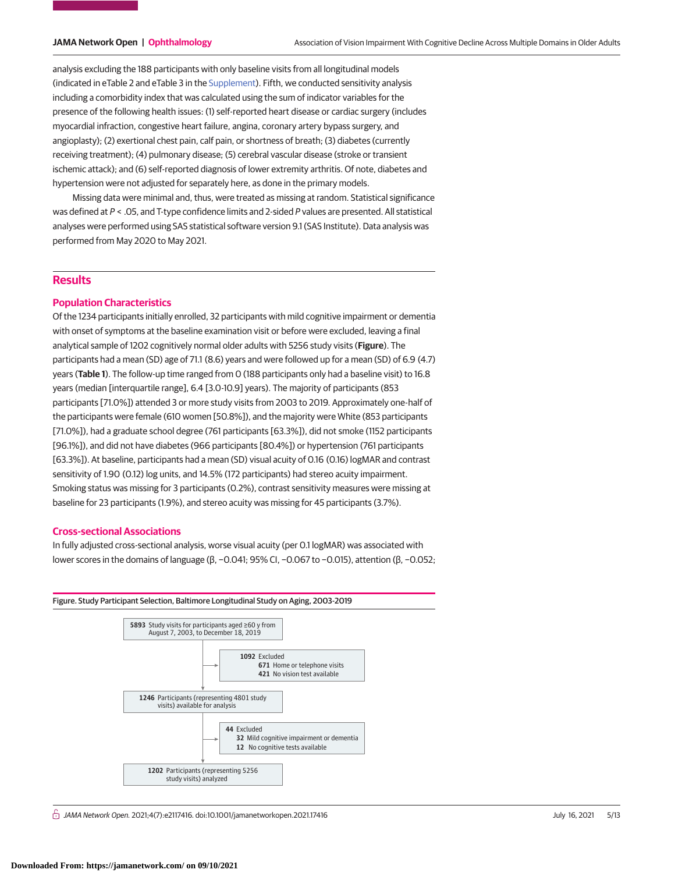analysis excluding the 188 participants with only baseline visits from all longitudinal models (indicated in eTable 2 and eTable 3 in the [Supplement\)](https://jama.jamanetwork.com/article.aspx?doi=10.1001/jamanetworkopen.2021.17416&utm_campaign=articlePDF%26utm_medium=articlePDFlink%26utm_source=articlePDF%26utm_content=jamanetworkopen.2021.17416). Fifth, we conducted sensitivity analysis including a comorbidity index that was calculated using the sum of indicator variables for the presence of the following health issues: (1) self-reported heart disease or cardiac surgery (includes myocardial infraction, congestive heart failure, angina, coronary artery bypass surgery, and angioplasty); (2) exertional chest pain, calf pain, or shortness of breath; (3) diabetes (currently receiving treatment); (4) pulmonary disease; (5) cerebral vascular disease (stroke or transient ischemic attack); and (6) self-reported diagnosis of lower extremity arthritis. Of note, diabetes and hypertension were not adjusted for separately here, as done in the primary models.

Missing data were minimal and, thus, were treated as missing at random. Statistical significance was defined at P < .05, and T-type confidence limits and 2-sided P values are presented. All statistical analyses were performed using SAS statistical software version 9.1 (SAS Institute). Data analysis was performed from May 2020 to May 2021.

# **Results**

### **Population Characteristics**

Of the 1234 participants initially enrolled, 32 participants with mild cognitive impairment or dementia with onset of symptoms at the baseline examination visit or before were excluded, leaving a final analytical sample of 1202 cognitively normal older adults with 5256 study visits (**Figure**). The participants had a mean (SD) age of 71.1 (8.6) years and were followed up for a mean (SD) of 6.9 (4.7) years (**Table 1**). The follow-up time ranged from 0 (188 participants only had a baseline visit) to 16.8 years (median [interquartile range], 6.4 [3.0-10.9] years). The majority of participants (853 participants [71.0%]) attended 3 or more study visits from 2003 to 2019. Approximately one-half of the participants were female (610 women [50.8%]), and the majority were White (853 participants [71.0%]), had a graduate school degree (761 participants [63.3%]), did not smoke (1152 participants [96.1%]), and did not have diabetes (966 participants [80.4%]) or hypertension (761 participants [63.3%]). At baseline, participants had a mean (SD) visual acuity of 0.16 (0.16) logMAR and contrast sensitivity of 1.90 (0.12) log units, and 14.5% (172 participants) had stereo acuity impairment. Smoking status was missing for 3 participants (0.2%), contrast sensitivity measures were missing at baseline for 23 participants (1.9%), and stereo acuity was missing for 45 participants (3.7%).

### **Cross-sectional Associations**

In fully adjusted cross-sectional analysis, worse visual acuity (per 0.1 logMAR) was associated with lower scores in the domains of language (β, −0.041; 95% CI, −0.067 to −0.015), attention (β, −0.052;



 $\stackrel{\curvearrowright}{\cap}$  JAMA Network Open. 2021;4(7):e2117416. doi:10.1001/jamanetworkopen.2021.17416 (Reprinted) July 16, 2021 5/13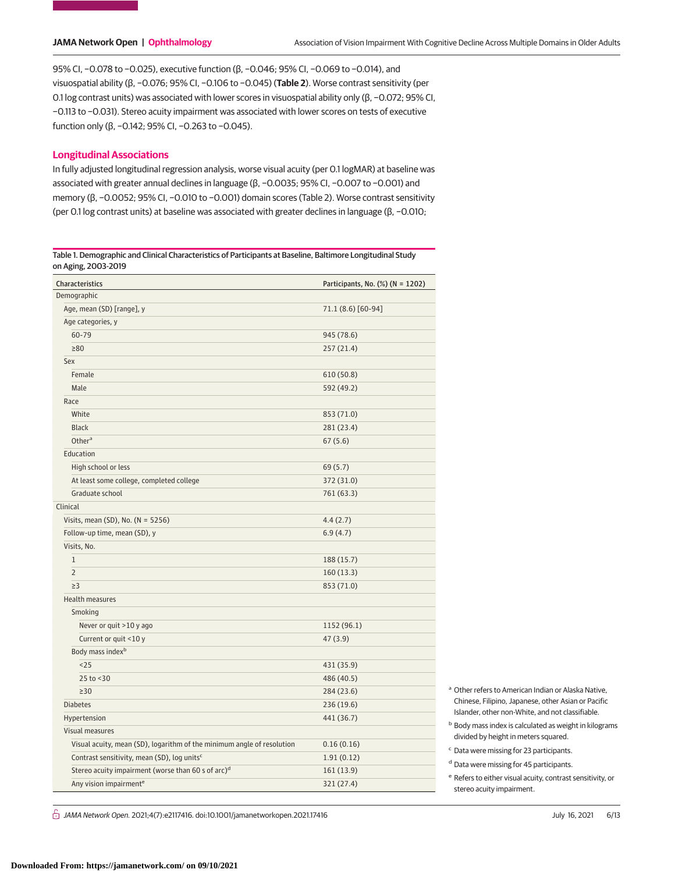95% CI, −0.078 to −0.025), executive function (β, −0.046; 95% CI, −0.069 to −0.014), and visuospatial ability (β, −0.076; 95% CI, −0.106 to −0.045) (**Table 2**). Worse contrast sensitivity (per 0.1 log contrast units) was associated with lower scores in visuospatial ability only (β, −0.072; 95% CI, −0.113 to −0.031). Stereo acuity impairment was associated with lower scores on tests of executive function only (β, −0.142; 95% CI, −0.263 to −0.045).

### **Longitudinal Associations**

In fully adjusted longitudinal regression analysis, worse visual acuity (per 0.1 logMAR) at baseline was associated with greater annual declines in language (β, −0.0035; 95% CI, −0.007 to −0.001) and memory (β, -0.0052; 95% CI, -0.010 to -0.001) domain scores (Table 2). Worse contrast sensitivity (per 0.1 log contrast units) at baseline was associated with greater declines in language (β, −0.010;

Table 1. Demographic and Clinical Characteristics of Participants at Baseline, Baltimore Longitudinal Study on Aging, 2003-2019

| Participants, No. (%) (N = 1202)<br>Characteristics                    |                    |  |
|------------------------------------------------------------------------|--------------------|--|
| Demographic                                                            |                    |  |
| Age, mean (SD) [range], y                                              | 71.1 (8.6) [60-94] |  |
| Age categories, y                                                      |                    |  |
| 60-79                                                                  | 945 (78.6)         |  |
| $\geq 80$                                                              | 257 (21.4)         |  |
| Sex                                                                    |                    |  |
| Female                                                                 | 610 (50.8)         |  |
| Male                                                                   | 592 (49.2)         |  |
| Race                                                                   |                    |  |
| White                                                                  | 853 (71.0)         |  |
| <b>Black</b>                                                           | 281 (23.4)         |  |
| Othera                                                                 | 67(5.6)            |  |
| Education                                                              |                    |  |
| High school or less                                                    | 69 (5.7)           |  |
| At least some college, completed college                               | 372 (31.0)         |  |
| Graduate school                                                        | 761 (63.3)         |  |
| Clinical                                                               |                    |  |
| Visits, mean (SD), No. ( $N = 5256$ )                                  | 4.4(2.7)           |  |
| Follow-up time, mean (SD), y                                           | 6.9(4.7)           |  |
| Visits, No.                                                            |                    |  |
| $\mathbf{1}$                                                           | 188 (15.7)         |  |
| $\overline{2}$                                                         | 160(13.3)          |  |
| $\geq$ 3                                                               | 853 (71.0)         |  |
| Health measures                                                        |                    |  |
| Smoking                                                                |                    |  |
| Never or quit >10 y ago                                                | 1152 (96.1)        |  |
| Current or quit <10 y                                                  | 47(3.9)            |  |
| Body mass index <sup>b</sup>                                           |                    |  |
| < 25                                                                   | 431 (35.9)         |  |
| 25 to <30                                                              | 486 (40.5)         |  |
| $\geq$ 30                                                              | 284 (23.6)         |  |
| <b>Diabetes</b>                                                        | 236 (19.6)         |  |
| Hypertension                                                           | 441 (36.7)         |  |
| Visual measures                                                        |                    |  |
| Visual acuity, mean (SD), logarithm of the minimum angle of resolution | 0.16(0.16)         |  |
| Contrast sensitivity, mean (SD), log units <sup>c</sup>                | 1.91(0.12)         |  |
| Stereo acuity impairment (worse than 60 s of arc) <sup>d</sup>         | 161 (13.9)         |  |
| Any vision impairment <sup>e</sup>                                     | 321 (27.4)         |  |

- <sup>a</sup> Other refers to American Indian or Alaska Native, Chinese, Filipino, Japanese, other Asian or Pacific Islander, other non-White, and not classifiable.
- **b** Body mass index is calculated as weight in kilograms divided by height in meters squared.
- <sup>c</sup> Data were missing for 23 participants.
- <sup>d</sup> Data were missing for 45 participants.
- <sup>e</sup> Refers to either visual acuity, contrast sensitivity, or stereo acuity impairment.

 $\bigcap$  JAMA Network Open. 2021;4(7):e2117416. doi:10.1001/jamanetworkopen.2021.17416 (Berlinted) July 16, 2021 6/13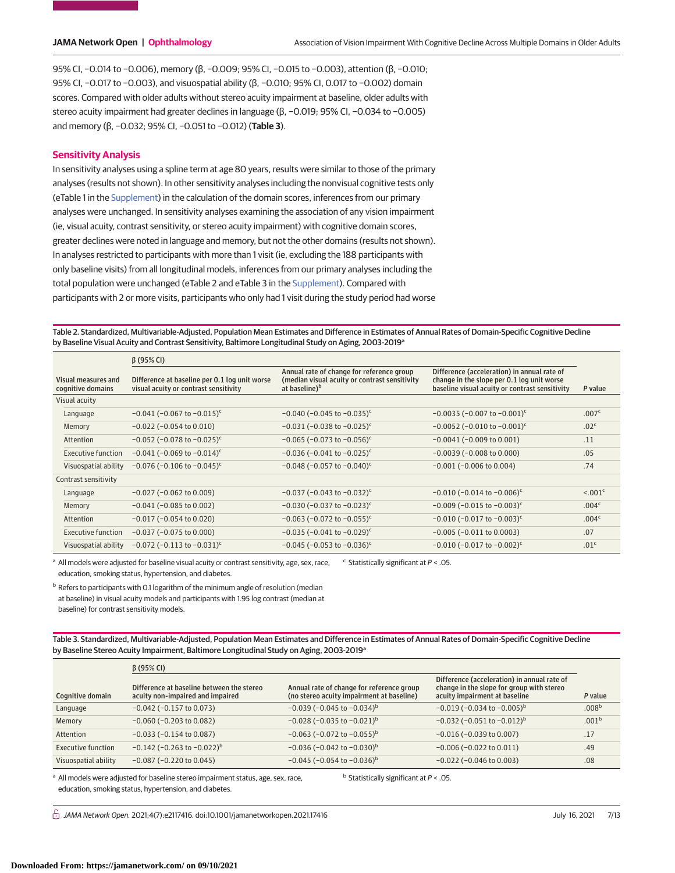95% CI, −0.014 to −0.006), memory (β, −0.009; 95% CI, −0.015 to −0.003), attention (β, −0.010; 95% CI, −0.017 to −0.003), and visuospatial ability (β, −0.010; 95% CI, 0.017 to −0.002) domain scores. Compared with older adults without stereo acuity impairment at baseline, older adults with stereo acuity impairment had greater declines in language (β, −0.019; 95% CI, −0.034 to −0.005) and memory (β, −0.032; 95% CI, −0.051 to −0.012) (**Table 3**).

### **Sensitivity Analysis**

In sensitivity analyses using a spline term at age 80 years, results were similar to those of the primary analyses (results not shown). In other sensitivity analyses including the nonvisual cognitive tests only (eTable 1 in the [Supplement\)](https://jama.jamanetwork.com/article.aspx?doi=10.1001/jamanetworkopen.2021.17416&utm_campaign=articlePDF%26utm_medium=articlePDFlink%26utm_source=articlePDF%26utm_content=jamanetworkopen.2021.17416) in the calculation of the domain scores, inferences from our primary analyses were unchanged. In sensitivity analyses examining the association of any vision impairment (ie, visual acuity, contrast sensitivity, or stereo acuity impairment) with cognitive domain scores, greater declines were noted in language and memory, but not the other domains (results not shown). In analyses restricted to participants with more than 1 visit (ie, excluding the 188 participants with only baseline visits) from all longitudinal models, inferences from our primary analyses including the total population were unchanged (eTable 2 and eTable 3 in the [Supplement\)](https://jama.jamanetwork.com/article.aspx?doi=10.1001/jamanetworkopen.2021.17416&utm_campaign=articlePDF%26utm_medium=articlePDFlink%26utm_source=articlePDF%26utm_content=jamanetworkopen.2021.17416). Compared with participants with 2 or more visits, participants who only had 1 visit during the study period had worse

Table 2. Standardized, Multivariable-Adjusted, Population Mean Estimates and Difference in Estimates of Annual Rates of Domain-Specific Cognitive Decline by Baseline Visual Acuity and Contrast Sensitivity, Baltimore Longitudinal Study on Aging, 2003-2019<sup>a</sup>

|                                          | $\beta$ (95% CI)                                                                       |                                                                                                                         |                                                                                                                                             |                          |
|------------------------------------------|----------------------------------------------------------------------------------------|-------------------------------------------------------------------------------------------------------------------------|---------------------------------------------------------------------------------------------------------------------------------------------|--------------------------|
| Visual measures and<br>cognitive domains | Difference at baseline per 0.1 log unit worse<br>visual acuity or contrast sensitivity | Annual rate of change for reference group<br>(median visual acuity or contrast sensitivity<br>at baseline) <sup>b</sup> | Difference (acceleration) in annual rate of<br>change in the slope per 0.1 log unit worse<br>baseline visual acuity or contrast sensitivity | P value                  |
| Visual acuity                            |                                                                                        |                                                                                                                         |                                                                                                                                             |                          |
| Language                                 | $-0.041$ (-0.067 to $-0.015$ ) <sup>c</sup>                                            | $-0.040$ (-0.045 to $-0.035$ ) <sup>c</sup>                                                                             | $-0.0035$ (-0.007 to $-0.001$ ) <sup>c</sup>                                                                                                | .007 <sup>c</sup>        |
| Memory                                   | $-0.022$ ( $-0.054$ to 0.010)                                                          | $-0.031$ (-0.038 to $-0.025$ ) <sup>c</sup>                                                                             | $-0.0052$ (-0.010 to $-0.001$ ) <sup>c</sup>                                                                                                | .02 <sup>c</sup>         |
| Attention                                | $-0.052$ (-0.078 to $-0.025$ ) <sup>c</sup>                                            | $-0.065$ (-0.073 to $-0.056$ ) <sup>c</sup>                                                                             | $-0.0041$ ( $-0.009$ to $0.001$ )                                                                                                           | .11                      |
| <b>Executive function</b>                | $-0.041$ (-0.069 to $-0.014$ ) <sup>c</sup>                                            | $-0.036$ (-0.041 to $-0.025$ ) <sup>c</sup>                                                                             | $-0.0039$ ( $-0.008$ to 0.000)                                                                                                              | .05                      |
| Visuospatial ability                     | $-0.076$ (-0.106 to $-0.045$ ) <sup>c</sup>                                            | $-0.048$ (-0.057 to $-0.040$ ) <sup>c</sup>                                                                             | $-0.001$ ( $-0.006$ to 0.004)                                                                                                               | .74                      |
| Contrast sensitivity                     |                                                                                        |                                                                                                                         |                                                                                                                                             |                          |
| Language                                 | $-0.027$ ( $-0.062$ to 0.009)                                                          | $-0.037$ (-0.043 to $-0.032$ ) <sup>c</sup>                                                                             | $-0.010$ (-0.014 to -0.006) <sup>c</sup>                                                                                                    | $\leq 0.01$ <sup>c</sup> |
| Memory                                   | $-0.041$ ( $-0.085$ to 0.002)                                                          | $-0.030$ (-0.037 to -0.023) <sup>c</sup>                                                                                | $-0.009$ (-0.015 to -0.003) <sup>c</sup>                                                                                                    | .004 <sup>c</sup>        |
| Attention                                | $-0.017$ ( $-0.054$ to 0.020)                                                          | $-0.063$ (-0.072 to $-0.055$ ) <sup>c</sup>                                                                             | $-0.010$ (-0.017 to $-0.003$ ) <sup>c</sup>                                                                                                 | .004 <sup>c</sup>        |
| <b>Executive function</b>                | $-0.037$ ( $-0.075$ to 0.000)                                                          | $-0.035$ (-0.041 to $-0.029$ ) <sup>c</sup>                                                                             | $-0.005$ ( $-0.011$ to 0.0003)                                                                                                              | .07                      |
| Visuospatial ability                     | $-0.072$ (-0.113 to $-0.031$ ) <sup>c</sup>                                            | $-0.045$ (-0.053 to -0.036) <sup>c</sup>                                                                                | $-0.010$ (-0.017 to $-0.002$ ) <sup>c</sup>                                                                                                 | .01 <sup>c</sup>         |

<sup>a</sup> All models were adjusted for baseline visual acuity or contrast sensitivity, age, sex, race, education, smoking status, hypertension, and diabetes.  $c$  Statistically significant at  $P < .05$ .

<sup>b</sup> Refers to participants with 0.1 logarithm of the minimum angle of resolution (median at baseline) in visual acuity models and participants with 1.95 log contrast (median at baseline) for contrast sensitivity models.

Table 3. Standardized, Multivariable-Adjusted, Population Mean Estimates and Difference in Estimates of Annual Rates of Domain-Specific Cognitive Decline by Baseline Stereo Acuity Impairment, Baltimore Longitudinal Study on Aging, 2003-2019<sup>a</sup>

|                      | $\beta$ (95% CI)                                                              |                                                                                        |                                                                                                                           |                   |
|----------------------|-------------------------------------------------------------------------------|----------------------------------------------------------------------------------------|---------------------------------------------------------------------------------------------------------------------------|-------------------|
| Cognitive domain     | Difference at baseline between the stereo<br>acuity non-impaired and impaired | Annual rate of change for reference group<br>(no stereo acuity impairment at baseline) | Difference (acceleration) in annual rate of<br>change in the slope for group with stereo<br>acuity impairment at baseline | P value           |
| Language             | $-0.042$ ( $-0.157$ to 0.073)                                                 | $-0.039$ (-0.045 to $-0.034$ ) <sup>b</sup>                                            | $-0.019$ (-0.034 to -0.005) <sup>b</sup>                                                                                  | .008 <sup>b</sup> |
| Memory               | $-0.060$ ( $-0.203$ to 0.082)                                                 | $-0.028$ ( $-0.035$ to $-0.021$ ) <sup>b</sup>                                         | $-0.032$ ( $-0.051$ to $-0.012$ ) <sup>b</sup>                                                                            | .001 <sup>b</sup> |
| Attention            | $-0.033$ ( $-0.154$ to 0.087)                                                 | $-0.063$ (-0.072 to $-0.055$ ) <sup>b</sup>                                            | $-0.016$ ( $-0.039$ to 0.007)                                                                                             | .17               |
| Executive function   | $-0.142$ (-0.263 to $-0.022$ ) <sup>b</sup>                                   | $-0.036$ ( $-0.042$ to $-0.030$ ) <sup>b</sup>                                         | $-0.006$ ( $-0.022$ to $0.011$ )                                                                                          | .49               |
| Visuospatial ability | $-0.087$ ( $-0.220$ to $0.045$ )                                              | $-0.045$ (-0.054 to $-0.036$ ) <sup>b</sup>                                            | $-0.022$ ( $-0.046$ to 0.003)                                                                                             | .08               |

<sup>a</sup> All models were adjusted for baseline stereo impairment status, age, sex, race, education, smoking status, hypertension, and diabetes.

 $<sup>b</sup>$  Statistically significant at  $P < .05$ .</sup>

 $\bigcap$  JAMA Network Open. 2021;4(7):e2117416. doi:10.1001/jamanetworkopen.2021.17416 (Berlinted) July 16, 2021 7/13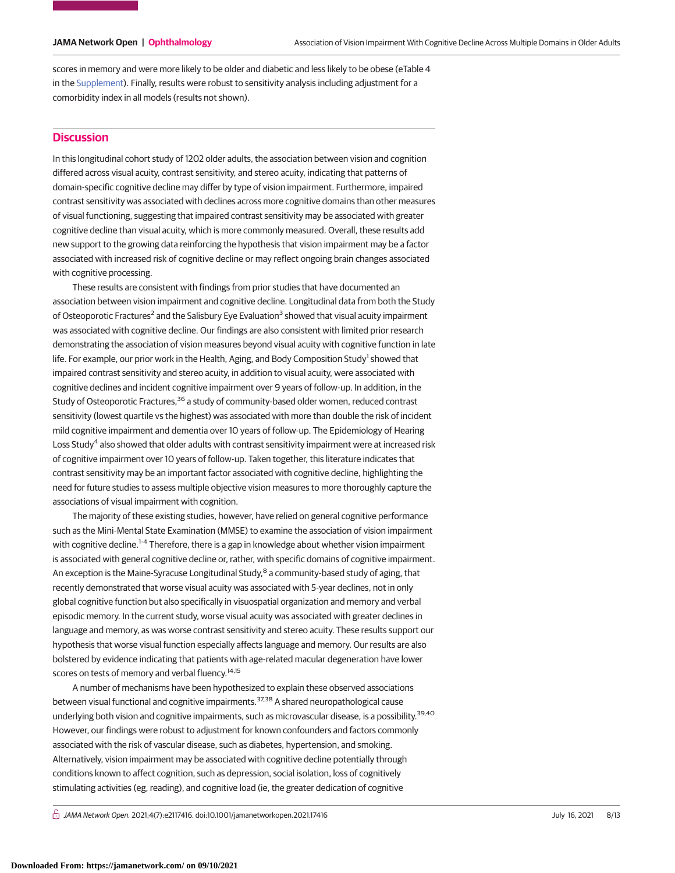scores in memory and were more likely to be older and diabetic and less likely to be obese (eTable 4 in the [Supplement\)](https://jama.jamanetwork.com/article.aspx?doi=10.1001/jamanetworkopen.2021.17416&utm_campaign=articlePDF%26utm_medium=articlePDFlink%26utm_source=articlePDF%26utm_content=jamanetworkopen.2021.17416). Finally, results were robust to sensitivity analysis including adjustment for a comorbidity index in all models (results not shown).

# **Discussion**

In this longitudinal cohort study of 1202 older adults, the association between vision and cognition differed across visual acuity, contrast sensitivity, and stereo acuity, indicating that patterns of domain-specific cognitive decline may differ by type of vision impairment. Furthermore, impaired contrast sensitivity was associated with declines across more cognitive domains than other measures of visual functioning, suggesting that impaired contrast sensitivity may be associated with greater cognitive decline than visual acuity, which is more commonly measured. Overall, these results add new support to the growing data reinforcing the hypothesis that vision impairment may be a factor associated with increased risk of cognitive decline or may reflect ongoing brain changes associated with cognitive processing.

These results are consistent with findings from prior studies that have documented an association between vision impairment and cognitive decline. Longitudinal data from both the Study of Osteoporotic Fractures<sup>2</sup> and the Salisbury Eye Evaluation<sup>3</sup> showed that visual acuity impairment was associated with cognitive decline. Our findings are also consistent with limited prior research demonstrating the association of vision measures beyond visual acuity with cognitive function in late life. For example, our prior work in the Health, Aging, and Body Composition Study<sup>1</sup> showed that impaired contrast sensitivity and stereo acuity, in addition to visual acuity, were associated with cognitive declines and incident cognitive impairment over 9 years of follow-up. In addition, in the Study of Osteoporotic Fractures,<sup>36</sup> a study of community-based older women, reduced contrast sensitivity (lowest quartile vs the highest) was associated with more than double the risk of incident mild cognitive impairment and dementia over 10 years of follow-up. The Epidemiology of Hearing Loss Study<sup>4</sup> also showed that older adults with contrast sensitivity impairment were at increased risk of cognitive impairment over 10 years of follow-up. Taken together, this literature indicates that contrast sensitivity may be an important factor associated with cognitive decline, highlighting the need for future studies to assess multiple objective vision measures to more thoroughly capture the associations of visual impairment with cognition.

The majority of these existing studies, however, have relied on general cognitive performance such as the Mini-Mental State Examination (MMSE) to examine the association of vision impairment with cognitive decline.<sup>1-4</sup> Therefore, there is a gap in knowledge about whether vision impairment is associated with general cognitive decline or, rather, with specific domains of cognitive impairment. An exception is the Maine-Syracuse Longitudinal Study,<sup>8</sup> a community-based study of aging, that recently demonstrated that worse visual acuity was associated with 5-year declines, not in only global cognitive function but also specifically in visuospatial organization and memory and verbal episodic memory. In the current study, worse visual acuity was associated with greater declines in language and memory, as was worse contrast sensitivity and stereo acuity. These results support our hypothesis that worse visual function especially affects language and memory. Our results are also bolstered by evidence indicating that patients with age-related macular degeneration have lower scores on tests of memory and verbal fluency.<sup>14,15</sup>

A number of mechanisms have been hypothesized to explain these observed associations between visual functional and cognitive impairments.<sup>37,38</sup> A shared neuropathological cause underlying both vision and cognitive impairments, such as microvascular disease, is a possibility.<sup>39,40</sup> However, our findings were robust to adjustment for known confounders and factors commonly associated with the risk of vascular disease, such as diabetes, hypertension, and smoking. Alternatively, vision impairment may be associated with cognitive decline potentially through conditions known to affect cognition, such as depression, social isolation, loss of cognitively stimulating activities (eg, reading), and cognitive load (ie, the greater dedication of cognitive

 $\bigcap$  JAMA Network Open. 2021;4(7):e2117416. doi:10.1001/jamanetworkopen.2021.17416 (Berlinted) July 16, 2021 8/13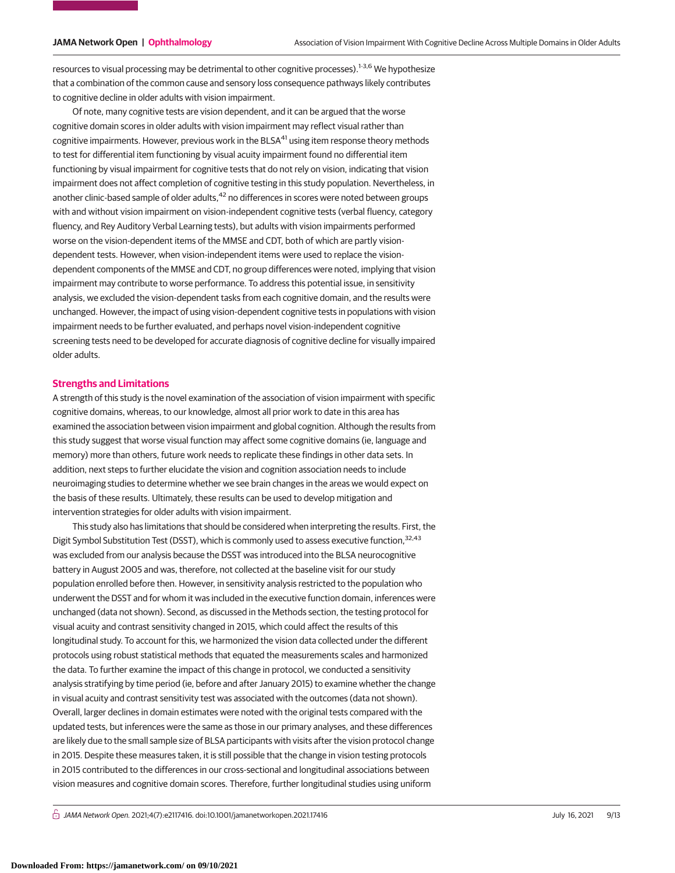resources to visual processing may be detrimental to other cognitive processes).<sup>1-3,6</sup> We hypothesize that a combination of the common cause and sensory loss consequence pathways likely contributes to cognitive decline in older adults with vision impairment.

Of note, many cognitive tests are vision dependent, and it can be argued that the worse cognitive domain scores in older adults with vision impairment may reflect visual rather than cognitive impairments. However, previous work in the BLSA<sup>41</sup> using item response theory methods to test for differential item functioning by visual acuity impairment found no differential item functioning by visual impairment for cognitive tests that do not rely on vision, indicating that vision impairment does not affect completion of cognitive testing in this study population. Nevertheless, in another clinic-based sample of older adults,<sup>42</sup> no differences in scores were noted between groups with and without vision impairment on vision-independent cognitive tests (verbal fluency, category fluency, and Rey Auditory Verbal Learning tests), but adults with vision impairments performed worse on the vision-dependent items of the MMSE and CDT, both of which are partly visiondependent tests. However, when vision-independent items were used to replace the visiondependent components of the MMSE and CDT, no group differences were noted, implying that vision impairment may contribute to worse performance. To address this potential issue, in sensitivity analysis, we excluded the vision-dependent tasks from each cognitive domain, and the results were unchanged. However, the impact of using vision-dependent cognitive tests in populations with vision impairment needs to be further evaluated, and perhaps novel vision-independent cognitive screening tests need to be developed for accurate diagnosis of cognitive decline for visually impaired older adults.

#### **Strengths and Limitations**

A strength of this study is the novel examination of the association of vision impairment with specific cognitive domains, whereas, to our knowledge, almost all prior work to date in this area has examined the association between vision impairment and global cognition. Although the results from this study suggest that worse visual function may affect some cognitive domains (ie, language and memory) more than others, future work needs to replicate these findings in other data sets. In addition, next steps to further elucidate the vision and cognition association needs to include neuroimaging studies to determine whether we see brain changes in the areas we would expect on the basis of these results. Ultimately, these results can be used to develop mitigation and intervention strategies for older adults with vision impairment.

This study also has limitations that should be considered when interpreting the results. First, the Digit Symbol Substitution Test (DSST), which is commonly used to assess executive function,<sup>32,43</sup> was excluded from our analysis because the DSST was introduced into the BLSA neurocognitive battery in August 2005 and was, therefore, not collected at the baseline visit for our study population enrolled before then. However, in sensitivity analysis restricted to the population who underwent the DSST and for whom it was included in the executive function domain, inferences were unchanged (data not shown). Second, as discussed in the Methods section, the testing protocol for visual acuity and contrast sensitivity changed in 2015, which could affect the results of this longitudinal study. To account for this, we harmonized the vision data collected under the different protocols using robust statistical methods that equated the measurements scales and harmonized the data. To further examine the impact of this change in protocol, we conducted a sensitivity analysis stratifying by time period (ie, before and after January 2015) to examine whether the change in visual acuity and contrast sensitivity test was associated with the outcomes (data not shown). Overall, larger declines in domain estimates were noted with the original tests compared with the updated tests, but inferences were the same as those in our primary analyses, and these differences are likely due to the small sample size of BLSA participants with visits after the vision protocol change in 2015. Despite these measures taken, it is still possible that the change in vision testing protocols in 2015 contributed to the differences in our cross-sectional and longitudinal associations between vision measures and cognitive domain scores. Therefore, further longitudinal studies using uniform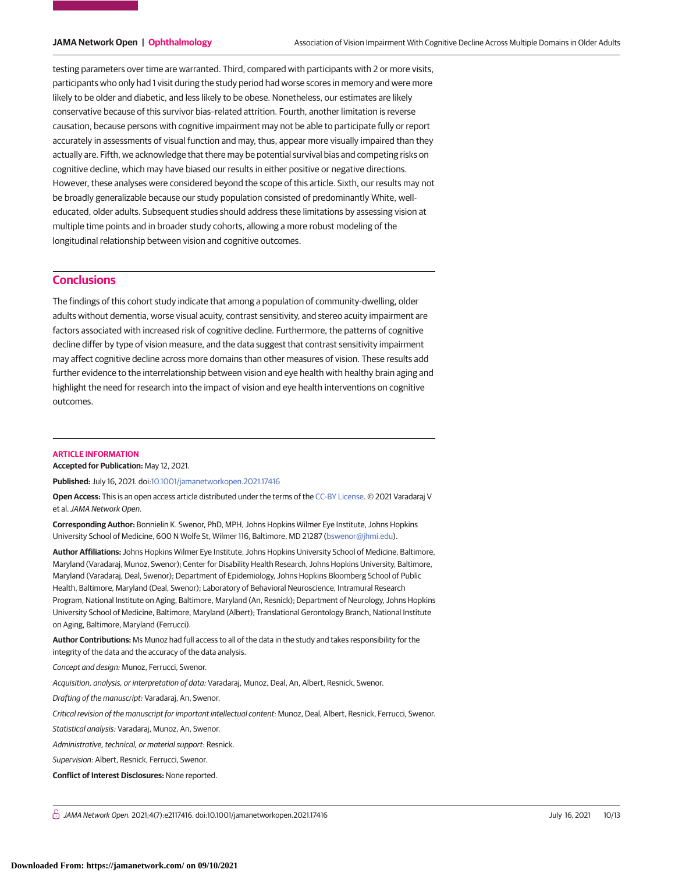testing parameters over time are warranted. Third, compared with participants with 2 or more visits, participants who only had 1 visit during the study period had worse scores in memory and were more likely to be older and diabetic, and less likely to be obese. Nonetheless, our estimates are likely conservative because of this survivor bias–related attrition. Fourth, another limitation is reverse causation, because persons with cognitive impairment may not be able to participate fully or report accurately in assessments of visual function and may, thus, appear more visually impaired than they actually are. Fifth, we acknowledge that there may be potential survival bias and competing risks on cognitive decline, which may have biased our results in either positive or negative directions. However, these analyses were considered beyond the scope of this article. Sixth, our results may not be broadly generalizable because our study population consisted of predominantly White, welleducated, older adults. Subsequent studies should address these limitations by assessing vision at multiple time points and in broader study cohorts, allowing a more robust modeling of the longitudinal relationship between vision and cognitive outcomes.

# **Conclusions**

The findings of this cohort study indicate that among a population of community-dwelling, older adults without dementia, worse visual acuity, contrast sensitivity, and stereo acuity impairment are factors associated with increased risk of cognitive decline. Furthermore, the patterns of cognitive decline differ by type of vision measure, and the data suggest that contrast sensitivity impairment may affect cognitive decline across more domains than other measures of vision. These results add further evidence to the interrelationship between vision and eye health with healthy brain aging and highlight the need for research into the impact of vision and eye health interventions on cognitive outcomes.

#### **ARTICLE INFORMATION**

**Accepted for Publication:** May 12, 2021.

**Published:** July 16, 2021. doi[:10.1001/jamanetworkopen.2021.17416](https://jama.jamanetwork.com/article.aspx?doi=10.1001/jamanetworkopen.2021.17416&utm_campaign=articlePDF%26utm_medium=articlePDFlink%26utm_source=articlePDF%26utm_content=jamanetworkopen.2021.17416)

**Open Access:** This is an open access article distributed under the terms of the [CC-BY License.](https://jamanetwork.com/pages/cc-by-license-permissions/?utm_campaign=articlePDF%26utm_medium=articlePDFlink%26utm_source=articlePDF%26utm_content=jamanetworkopen.2021.17416) © 2021 Varadaraj V et al.JAMA Network Open.

**Corresponding Author:** Bonnielin K. Swenor, PhD, MPH, Johns Hopkins Wilmer Eye Institute, Johns Hopkins University School of Medicine, 600 N Wolfe St, Wilmer 116, Baltimore, MD 21287 [\(bswenor@jhmi.edu\)](mailto:bswenor@jhmi.edu).

**Author Affiliations:** Johns Hopkins Wilmer Eye Institute, Johns Hopkins University School of Medicine, Baltimore, Maryland (Varadaraj, Munoz, Swenor); Center for Disability Health Research, Johns Hopkins University, Baltimore, Maryland (Varadaraj, Deal, Swenor); Department of Epidemiology, Johns Hopkins Bloomberg School of Public Health, Baltimore, Maryland (Deal, Swenor); Laboratory of Behavioral Neuroscience, Intramural Research Program, National Institute on Aging, Baltimore, Maryland (An, Resnick); Department of Neurology, Johns Hopkins University School of Medicine, Baltimore, Maryland (Albert); Translational Gerontology Branch, National Institute on Aging, Baltimore, Maryland (Ferrucci).

**Author Contributions:** Ms Munoz had full access to all of the data in the study and takes responsibility for the integrity of the data and the accuracy of the data analysis.

Concept and design: Munoz, Ferrucci, Swenor.

Acquisition, analysis, or interpretation of data: Varadaraj, Munoz, Deal, An, Albert, Resnick, Swenor.

Drafting of the manuscript: Varadaraj, An, Swenor.

Critical revision of the manuscript for important intellectual content: Munoz, Deal, Albert, Resnick, Ferrucci, Swenor.

Statistical analysis: Varadaraj, Munoz, An, Swenor.

Administrative, technical, or material support: Resnick.

Supervision: Albert, Resnick, Ferrucci, Swenor.

**Conflict of Interest Disclosures:** None reported.

 $\bigcap$  JAMA Network Open. 2021;4(7):e2117416. doi:10.1001/jamanetworkopen.2021.17416 (Reprinted) July 16, 2021 10/13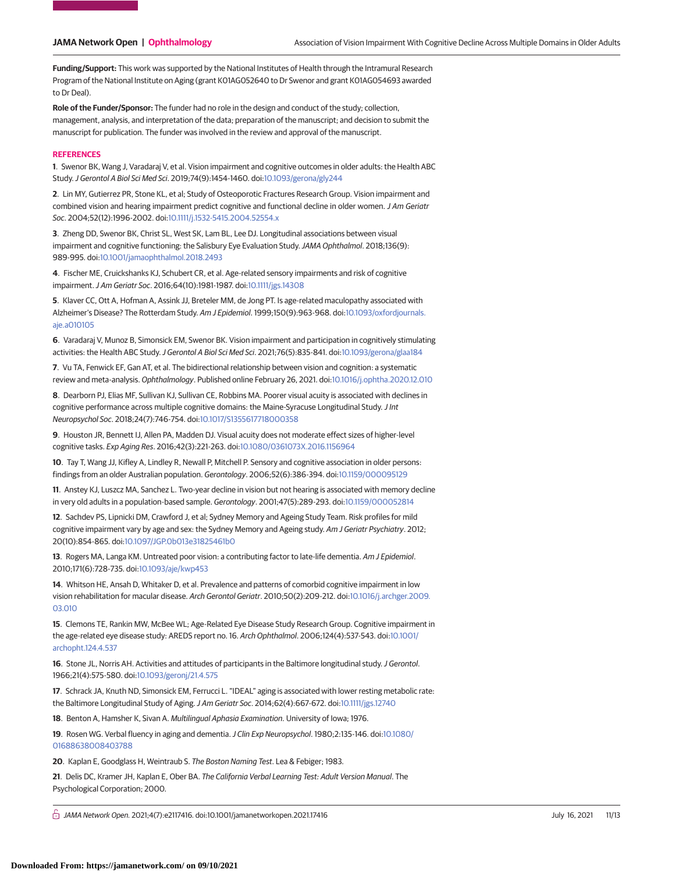**Funding/Support:** This work was supported by the National Institutes of Health through the Intramural Research Program of the National Institute on Aging (grant K01AG052640 to Dr Swenor and grant K01AG054693 awarded to Dr Deal).

**Role of the Funder/Sponsor:** The funder had no role in the design and conduct of the study; collection, management, analysis, and interpretation of the data; preparation of the manuscript; and decision to submit the manuscript for publication. The funder was involved in the review and approval of the manuscript.

#### **REFERENCES**

**1**. Swenor BK, Wang J, Varadaraj V, et al. Vision impairment and cognitive outcomes in older adults: the Health ABC Study.J Gerontol A Biol Sci Med Sci. 2019;74(9):1454-1460. doi[:10.1093/gerona/gly244](https://dx.doi.org/10.1093/gerona/gly244)

**2**. Lin MY, Gutierrez PR, Stone KL, et al; Study of Osteoporotic Fractures Research Group. Vision impairment and combined vision and hearing impairment predict cognitive and functional decline in older women. J Am Geriatr Soc. 2004;52(12):1996-2002. doi[:10.1111/j.1532-5415.2004.52554.x](https://dx.doi.org/10.1111/j.1532-5415.2004.52554.x)

**3**. Zheng DD, Swenor BK, Christ SL, West SK, Lam BL, Lee DJ. Longitudinal associations between visual impairment and cognitive functioning: the Salisbury Eye Evaluation Study. JAMA Ophthalmol. 2018;136(9): 989-995. doi[:10.1001/jamaophthalmol.2018.2493](https://jama.jamanetwork.com/article.aspx?doi=10.1001/jamaophthalmol.2018.2493&utm_campaign=articlePDF%26utm_medium=articlePDFlink%26utm_source=articlePDF%26utm_content=jamanetworkopen.2021.17416)

**4**. Fischer ME, Cruickshanks KJ, Schubert CR, et al. Age-related sensory impairments and risk of cognitive impairment.J Am Geriatr Soc. 2016;64(10):1981-1987. doi[:10.1111/jgs.14308](https://dx.doi.org/10.1111/jgs.14308)

**5**. Klaver CC, Ott A, Hofman A, Assink JJ, Breteler MM, de Jong PT. Is age-related maculopathy associated with Alzheimer's Disease? The Rotterdam Study. Am J Epidemiol. 1999;150(9):963-968. doi[:10.1093/oxfordjournals.](https://dx.doi.org/10.1093/oxfordjournals.aje.a010105) [aje.a010105](https://dx.doi.org/10.1093/oxfordjournals.aje.a010105)

**6**. Varadaraj V, Munoz B, Simonsick EM, Swenor BK. Vision impairment and participation in cognitively stimulating activities: the Health ABC Study.J Gerontol A Biol Sci Med Sci. 2021;76(5):835-841. doi[:10.1093/gerona/glaa184](https://dx.doi.org/10.1093/gerona/glaa184)

**7**. Vu TA, Fenwick EF, Gan AT, et al. The bidirectional relationship between vision and cognition: a systematic review and meta-analysis. Ophthalmology. Published online February 26, 2021. doi[:10.1016/j.ophtha.2020.12.010](https://dx.doi.org/10.1016/j.ophtha.2020.12.010)

**8**. Dearborn PJ, Elias MF, Sullivan KJ, Sullivan CE, Robbins MA. Poorer visual acuity is associated with declines in cognitive performance across multiple cognitive domains: the Maine-Syracuse Longitudinal Study. J Int Neuropsychol Soc. 2018;24(7):746-754. doi[:10.1017/S1355617718000358](https://dx.doi.org/10.1017/S1355617718000358)

**9**. Houston JR, Bennett IJ, Allen PA, Madden DJ. Visual acuity does not moderate effect sizes of higher-level cognitive tasks. Exp Aging Res. 2016;42(3):221-263. doi[:10.1080/0361073X.2016.1156964](https://dx.doi.org/10.1080/0361073X.2016.1156964)

**10**. Tay T, Wang JJ, Kifley A, Lindley R, Newall P, Mitchell P. Sensory and cognitive association in older persons: findings from an older Australian population. Gerontology. 2006;52(6):386-394. doi[:10.1159/000095129](https://dx.doi.org/10.1159/000095129)

**11**. Anstey KJ, Luszcz MA, Sanchez L. Two-year decline in vision but not hearing is associated with memory decline in very old adults in a population-based sample. Gerontology. 2001;47(5):289-293. doi[:10.1159/000052814](https://dx.doi.org/10.1159/000052814)

**12**. Sachdev PS, Lipnicki DM, Crawford J, et al; Sydney Memory and Ageing Study Team. Risk profiles for mild cognitive impairment vary by age and sex: the Sydney Memory and Ageing study. Am J Geriatr Psychiatry. 2012; 20(10):854-865. doi[:10.1097/JGP.0b013e31825461b0](https://dx.doi.org/10.1097/JGP.0b013e31825461b0)

**13**. Rogers MA, Langa KM. Untreated poor vision: a contributing factor to late-life dementia. Am J Epidemiol. 2010;171(6):728-735. doi[:10.1093/aje/kwp453](https://dx.doi.org/10.1093/aje/kwp453)

**14**. Whitson HE, Ansah D, Whitaker D, et al. Prevalence and patterns of comorbid cognitive impairment in low vision rehabilitation for macular disease. Arch Gerontol Geriatr. 2010;50(2):209-212. doi[:10.1016/j.archger.2009.](https://dx.doi.org/10.1016/j.archger.2009.03.010) [03.010](https://dx.doi.org/10.1016/j.archger.2009.03.010)

**15**. Clemons TE, Rankin MW, McBee WL; Age-Related Eye Disease Study Research Group. Cognitive impairment in the age-related eye disease study: AREDS report no. 16. Arch Ophthalmol. 2006;124(4):537-543. doi[:10.1001/](https://jama.jamanetwork.com/article.aspx?doi=10.1001/archopht.124.4.537&utm_campaign=articlePDF%26utm_medium=articlePDFlink%26utm_source=articlePDF%26utm_content=jamanetworkopen.2021.17416) [archopht.124.4.537](https://jama.jamanetwork.com/article.aspx?doi=10.1001/archopht.124.4.537&utm_campaign=articlePDF%26utm_medium=articlePDFlink%26utm_source=articlePDF%26utm_content=jamanetworkopen.2021.17416)

**16**. Stone JL, Norris AH. Activities and attitudes of participants in the Baltimore longitudinal study. J Gerontol. 1966;21(4):575-580. doi[:10.1093/geronj/21.4.575](https://dx.doi.org/10.1093/geronj/21.4.575)

**17**. Schrack JA, Knuth ND, Simonsick EM, Ferrucci L. "IDEAL" aging is associated with lower resting metabolic rate: the Baltimore Longitudinal Study of Aging.J Am Geriatr Soc. 2014;62(4):667-672. doi[:10.1111/jgs.12740](https://dx.doi.org/10.1111/jgs.12740)

**18**. Benton A, Hamsher K, Sivan A. Multilingual Aphasia Examination. University of Iowa; 1976.

**19**. Rosen WG. Verbal fluency in aging and dementia.J Clin Exp Neuropsychol. 1980;2:135-146. doi[:10.1080/](https://dx.doi.org/10.1080/01688638008403788) [01688638008403788](https://dx.doi.org/10.1080/01688638008403788)

**20**. Kaplan E, Goodglass H, Weintraub S. The Boston Naming Test. Lea & Febiger; 1983.

**21**. Delis DC, Kramer JH, Kaplan E, Ober BA. The California Verbal Learning Test: Adult Version Manual. The Psychological Corporation; 2000.

 $\bigcap$  JAMA Network Open. 2021;4(7):e2117416. doi:10.1001/jamanetworkopen.2021.17416 (Berlinted) July 16, 2021 11/13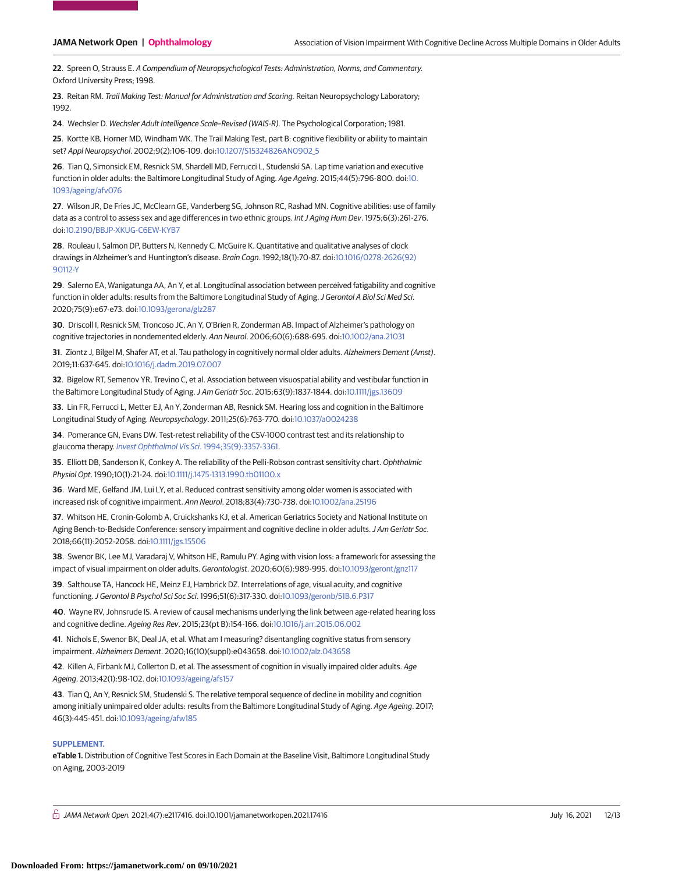**22**. Spreen O, Strauss E. A Compendium of Neuropsychological Tests: Administration, Norms, and Commentary. Oxford University Press; 1998.

**23**. Reitan RM. Trail Making Test: Manual for Administration and Scoring. Reitan Neuropsychology Laboratory; 1992.

**24**. Wechsler D. Wechsler Adult Intelligence Scale–Revised (WAIS-R). The Psychological Corporation; 1981.

**25**. Kortte KB, Horner MD, Windham WK. The Trail Making Test, part B: cognitive flexibility or ability to maintain set? Appl Neuropsychol. 2002;9(2):106-109. doi[:10.1207/S15324826AN0902\\_5](https://dx.doi.org/10.1207/S15324826AN0902_5)

**26**. Tian Q, Simonsick EM, Resnick SM, Shardell MD, Ferrucci L, Studenski SA. Lap time variation and executive function in older adults: the Baltimore Longitudinal Study of Aging. Age Ageing. 2015;44(5):796-800. doi[:10.](https://dx.doi.org/10.1093/ageing/afv076) [1093/ageing/afv076](https://dx.doi.org/10.1093/ageing/afv076)

**27**. Wilson JR, De Fries JC, McClearn GE, Vanderberg SG, Johnson RC, Rashad MN. Cognitive abilities: use of family data as a control to assess sex and age differences in two ethnic groups. Int J Aging Hum Dev. 1975;6(3):261-276. doi[:10.2190/BBJP-XKUG-C6EW-KYB7](https://dx.doi.org/10.2190/BBJP-XKUG-C6EW-KYB7)

**28**. Rouleau I, Salmon DP, Butters N, Kennedy C, McGuire K. Quantitative and qualitative analyses of clock drawings in Alzheimer's and Huntington's disease. Brain Cogn. 1992;18(1):70-87. doi[:10.1016/0278-2626\(92\)](https://dx.doi.org/10.1016/0278-2626(92)90112-Y) [90112-Y](https://dx.doi.org/10.1016/0278-2626(92)90112-Y)

**29**. Salerno EA, Wanigatunga AA, An Y, et al. Longitudinal association between perceived fatigability and cognitive function in older adults: results from the Baltimore Longitudinal Study of Aging. J Gerontol A Biol Sci Med Sci. 2020;75(9):e67-e73. doi[:10.1093/gerona/glz287](https://dx.doi.org/10.1093/gerona/glz287)

**30**. Driscoll I, Resnick SM, Troncoso JC, An Y, O'Brien R, Zonderman AB. Impact of Alzheimer's pathology on cognitive trajectories in nondemented elderly. Ann Neurol. 2006;60(6):688-695. doi[:10.1002/ana.21031](https://dx.doi.org/10.1002/ana.21031)

**31**. Ziontz J, Bilgel M, Shafer AT, et al. Tau pathology in cognitively normal older adults. Alzheimers Dement (Amst). 2019;11:637-645. doi[:10.1016/j.dadm.2019.07.007](https://dx.doi.org/10.1016/j.dadm.2019.07.007)

**32**. Bigelow RT, Semenov YR, Trevino C, et al. Association between visuospatial ability and vestibular function in the Baltimore Longitudinal Study of Aging. J Am Geriatr Soc. 2015;63(9):1837-1844. doi[:10.1111/jgs.13609](https://dx.doi.org/10.1111/jgs.13609)

**33**. Lin FR, Ferrucci L, Metter EJ, An Y, Zonderman AB, Resnick SM. Hearing loss and cognition in the Baltimore Longitudinal Study of Aging. Neuropsychology. 2011;25(6):763-770. doi[:10.1037/a0024238](https://dx.doi.org/10.1037/a0024238)

**34**. Pomerance GN, Evans DW. Test-retest reliability of the CSV-1000 contrast test and its relationship to glaucoma therapy. [Invest Ophthalmol Vis Sci](https://www.ncbi.nlm.nih.gov/pubmed/8056510). 1994;35(9):3357-3361.

**35**. Elliott DB, Sanderson K, Conkey A. The reliability of the Pelli-Robson contrast sensitivity chart. Ophthalmic Physiol Opt. 1990;10(1):21-24. doi[:10.1111/j.1475-1313.1990.tb01100.x](https://dx.doi.org/10.1111/j.1475-1313.1990.tb01100.x)

**36**. Ward ME, Gelfand JM, Lui LY, et al. Reduced contrast sensitivity among older women is associated with increased risk of cognitive impairment. Ann Neurol. 2018;83(4):730-738. doi[:10.1002/ana.25196](https://dx.doi.org/10.1002/ana.25196)

**37**. Whitson HE, Cronin-Golomb A, Cruickshanks KJ, et al. American Geriatrics Society and National Institute on Aging Bench-to-Bedside Conference: sensory impairment and cognitive decline in older adults. J Am Geriatr Soc. 2018;66(11):2052-2058. doi[:10.1111/jgs.15506](https://dx.doi.org/10.1111/jgs.15506)

**38**. Swenor BK, Lee MJ, Varadaraj V, Whitson HE, Ramulu PY. Aging with vision loss: a framework for assessing the impact of visual impairment on older adults. Gerontologist. 2020;60(6):989-995. doi[:10.1093/geront/gnz117](https://dx.doi.org/10.1093/geront/gnz117)

**39**. Salthouse TA, Hancock HE, Meinz EJ, Hambrick DZ. Interrelations of age, visual acuity, and cognitive functioning.J Gerontol B Psychol Sci Soc Sci. 1996;51(6):317-330. doi[:10.1093/geronb/51B.6.P317](https://dx.doi.org/10.1093/geronb/51B.6.P317)

**40**. Wayne RV, Johnsrude IS. A review of causal mechanisms underlying the link between age-related hearing loss and cognitive decline. Ageing Res Rev. 2015;23(pt B):154-166. doi[:10.1016/j.arr.2015.06.002](https://dx.doi.org/10.1016/j.arr.2015.06.002)

**41**. Nichols E, Swenor BK, Deal JA, et al. What am I measuring? disentangling cognitive status from sensory impairment. Alzheimers Dement. 2020;16(10)(suppl):e043658. doi[:10.1002/alz.043658](https://dx.doi.org/10.1002/alz.043658)

**42**. Killen A, Firbank MJ, Collerton D, et al. The assessment of cognition in visually impaired older adults. Age Ageing. 2013;42(1):98-102. doi[:10.1093/ageing/afs157](https://dx.doi.org/10.1093/ageing/afs157)

**43**. Tian Q, An Y, Resnick SM, Studenski S. The relative temporal sequence of decline in mobility and cognition among initially unimpaired older adults: results from the Baltimore Longitudinal Study of Aging. Age Ageing. 2017; 46(3):445-451. doi[:10.1093/ageing/afw185](https://dx.doi.org/10.1093/ageing/afw185)

#### **SUPPLEMENT.**

**eTable 1.** Distribution of Cognitive Test Scores in Each Domain at the Baseline Visit, Baltimore Longitudinal Study on Aging, 2003-2019

 $\bigcap$  JAMA Network Open. 2021;4(7):e2117416. doi:10.1001/jamanetworkopen.2021.17416 (Reprinted) July 16, 2021 12/13